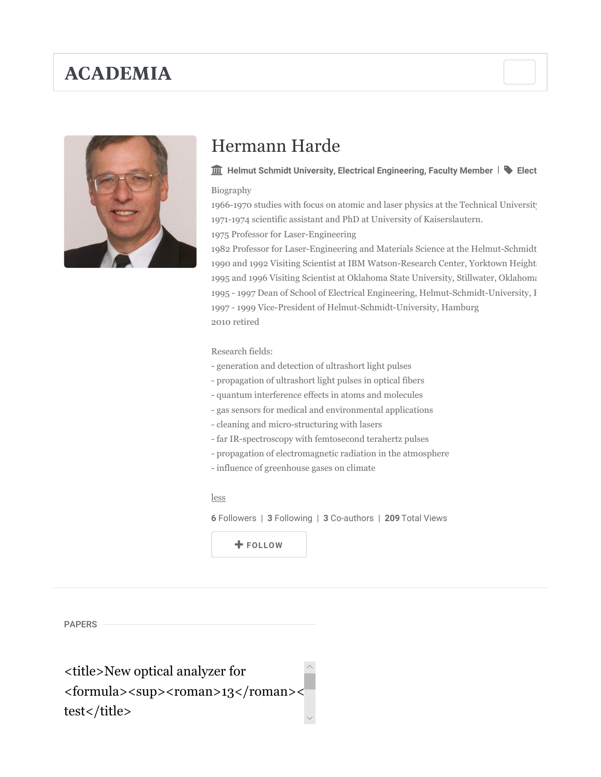# **ACADEMIA**



# Hermann Harde

### $\widehat{\mathbf{m}}$  Helmut Schmidt University, Electrical Engineering, Faculty Member  $\|\blacklozenge\|$  Elect

#### Biography

1966-1970 studies with focus on atomic and laser physics at the Technical University 1971-1974 scientific assistant and PhD at University of Kaiserslautern.

1975 Professor for Laser-Engineering

1982 Professor for Laser-Engineering and Materials Science at the Helmut-Schmidt 1990 and 1992 Visiting Scientist at IBM Watson-Research Center, Yorktown Height 1995 and 1996 Visiting Scientist at Oklahoma State University, Stillwater, Oklahoma 1995 - 1997 Dean of School of Electrical Engineering, Helmut-Schmidt-University, I 1997 - 1999 Vice-President of Helmut-Schmidt-University, Hamburg 2010 retired

### Research fields:

- generation and detection of ultrashort light pulses
- propagation of ultrashort light pulses in optical fibers
- quantum interference effects in atoms and molecules
- gas sensors for medical and environmental applications
- cleaning and micro-structuring with lasers
- far IR-spectroscopy with femtosecond terahertz pulses
- propagation of electromagnetic radiation in the atmosphere
- influence of greenhouse gases on climate

#### less

6 Followers | 3 Following | 3 Co-authors | 209 Total Views

FOLLOW

PAPERS

 $\wedge$  $\checkmark$ <title>New optical analyzer for <formula><sup><roman>13</roman>< test</title>